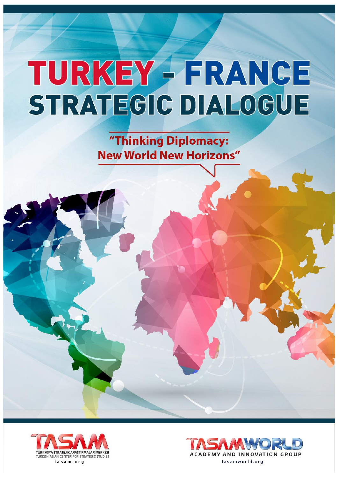"Thinking Diplomacy: **New World New Horizons"** 



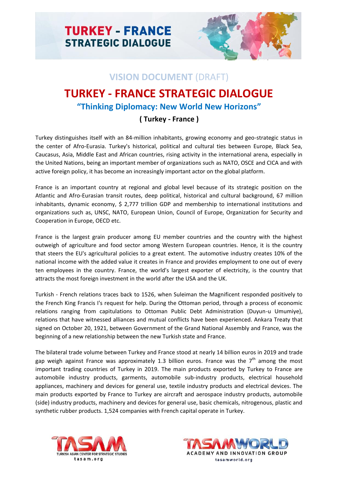

## **VISION DOCUMENT** (DRAFT)

## **TURKEY - FRANCE STRATEGIC DIALOGUE "Thinking Diplomacy: New World New Horizons"**

## **( Turkey - France )**

Turkey distinguishes itself with an 84-million inhabitants, growing economy and geo-strategic status in the center of Afro-Eurasia. Turkey's historical, political and cultural ties between Europe, Black Sea, Caucasus, Asia, Middle East and African countries, rising activity in the international arena, especially in the United Nations, being an important member of organizations such as NATO, OSCE and CICA and with active foreign policy, it has become an increasingly important actor on the global platform.

France is an important country at regional and global level because of its strategic position on the Atlantic and Afro-Eurasian transit routes, deep political, historical and cultural background, 67 million inhabitants, dynamic economy, \$ 2,777 trillion GDP and membership to international institutions and organizations such as, UNSC, NATO, European Union, Council of Europe, Organization for Security and Cooperation in Europe, OECD etc.

France is the largest grain producer among EU member countries and the country with the highest outweigh of agriculture and food sector among Western European countries. Hence, it is the country that steers the EU's agricultural policies to a great extent. The automotive industry creates 10% of the national income with the added value it creates in France and provides employment to one out of every ten employees in the country. France, the world's largest exporter of electricity, is the country that attracts the most foreign investment in the world after the USA and the UK.

Turkish - French relations traces back to 1526, when Suleiman the Magnificent responded positively to the French King Francis I's request for help. During the Ottoman period, through a process of economic relations ranging from capitulations to Ottoman Public Debt Administration (Duyun-u Umumiye), relations that have witnessed alliances and mutual conflicts have been experienced. Ankara Treaty that signed on October 20, 1921, between Government of the Grand National Assembly and France, was the beginning of a new relationship between the new Turkish state and France.

The bilateral trade volume between Turkey and France stood at nearly 14 billion euros in 2019 and trade gap weigh against France was approximately 1.3 billion euros. France was the  $7<sup>th</sup>$  among the most important trading countries of Turkey in 2019. The main products exported by Turkey to France are automobile industry products, garments, automobile sub-industry products, electrical household appliances, machinery and devices for general use, textile industry products and electrical devices. The main products exported by France to Turkey are aircraft and aerospace industry products, automobile (side) industry products, machinery and devices for general use, basic chemicals, nitrogenous, plastic and synthetic rubber products. 1,524 companies with French capital operate in Turkey.



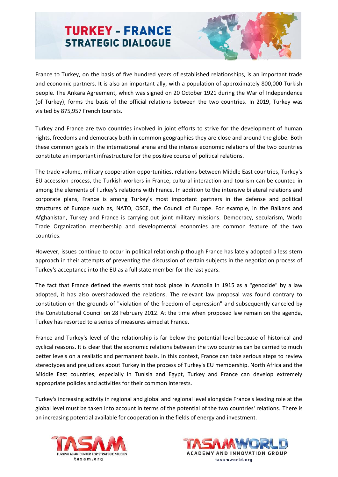

France to Turkey, on the basis of five hundred years of established relationships, is an important trade and economic partners. It is also an important ally, with a population of approximately 800,000 Turkish people. The Ankara Agreement, which was signed on 20 October 1921 during the War of Independence (of Turkey), forms the basis of the official relations between the two countries. In 2019, Turkey was visited by 875,957 French tourists.

Turkey and France are two countries involved in joint efforts to strive for the development of human rights, freedoms and democracy both in common geographies they are close and around the globe. Both these common goals in the international arena and the intense economic relations of the two countries constitute an important infrastructure for the positive course of political relations.

The trade volume, military cooperation opportunities, relations between Middle East countries, Turkey's EU accession process, the Turkish workers in France, cultural interaction and tourism can be counted in among the elements of Turkey's relations with France. In addition to the intensive bilateral relations and corporate plans, France is among Turkey's most important partners in the defense and political structures of Europe such as, NATO, OSCE, the Council of Europe. For example, in the Balkans and Afghanistan, Turkey and France is carrying out joint military missions. Democracy, secularism, World Trade Organization membership and developmental economies are common feature of the two countries.

However, issues continue to occur in political relationship though France has lately adopted a less stern approach in their attempts of preventing the discussion of certain subjects in the negotiation process of Turkey's acceptance into the EU as a full state member for the last years.

The fact that France defined the events that took place in Anatolia in 1915 as a "genocide" by a law adopted, it has also overshadowed the relations. The relevant law proposal was found contrary to constitution on the grounds of "violation of the freedom of expression" and subsequently canceled by the Constitutional Council on 28 February 2012. At the time when proposed law remain on the agenda, Turkey has resorted to a series of measures aimed at France.

France and Turkey's level of the relationship is far below the potential level because of historical and cyclical reasons. It is clear that the economic relations between the two countries can be carried to much better levels on a realistic and permanent basis. In this context, France can take serious steps to review stereotypes and prejudices about Turkey in the process of Turkey's EU membership. North Africa and the Middle East countries, especially in Tunisia and Egypt, Turkey and France can develop extremely appropriate policies and activities for their common interests.

Turkey's increasing activity in regional and global and regional level alongside France's leading role at the global level must be taken into account in terms of the potential of the two countries' relations. There is an increasing potential available for cooperation in the fields of energy and investment.



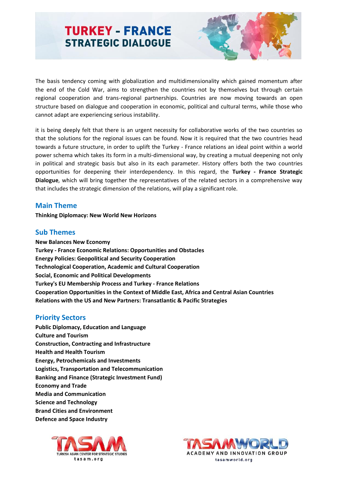

The basis tendency coming with globalization and multidimensionality which gained momentum after the end of the Cold War, aims to strengthen the countries not by themselves but through certain regional cooperation and trans-regional partnerships. Countries are now moving towards an open structure based on dialogue and cooperation in economic, political and cultural terms, while those who cannot adapt are experiencing serious instability.

it is being deeply felt that there is an urgent necessity for collaborative works of the two countries so that the solutions for the regional issues can be found. Now it is required that the two countries head towards a future structure, in order to uplift the Turkey - France relations an ideal point within a world power schema which takes its form in a multi-dimensional way, by creating a mutual deepening not only in political and strategic basis but also in its each parameter. History offers both the two countries opportunities for deepening their interdependency. In this regard, the **Turkey - France Strategic Dialogue**, which will bring together the representatives of the related sectors in a comprehensive way that includes the strategic dimension of the relations, will play a significant role.

#### **Main Theme**

**Thinking Diplomacy: New World New Horizons**

#### **Sub Themes**

**New Balances New Economy Turkey - France Economic Relations: Opportunities and Obstacles Energy Policies: Geopolitical and Security Cooperation Technological Cooperation, Academic and Cultural Cooperation Social, Economic and Political Developments Turkey's EU Membership Process and Turkey - France Relations Cooperation Opportunities in the Context of Middle East, Africa and Central Asian Countries Relations with the US and New Partners: Transatlantic & Pacific Strategies**

#### **Priority Sectors**

**Public Diplomacy, Education and Language Culture and Tourism Construction, Contracting and Infrastructure Health and Health Tourism Energy, Petrochemicals and Investments Logistics, Transportation and Telecommunication Banking and Finance (Strategic Investment Fund) Economy and Trade Media and Communication Science and Technology Brand Cities and Environment Defence and Space Industry**